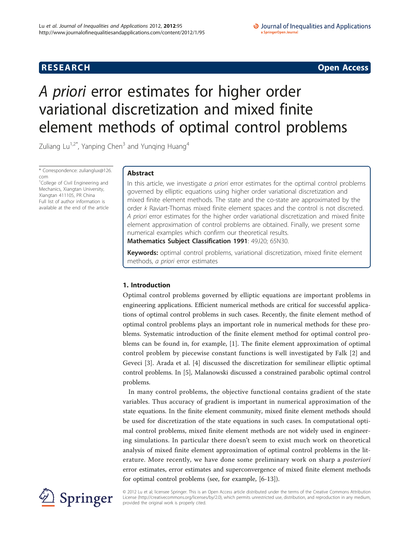## O Journal of Inequalities and Applications a SpringerOpen Journal

## **RESEARCH CONSTRUCTION CONSTRUCTS**

# A priori error estimates for higher order variational discretization and mixed finite element methods of optimal control problems

Zuliang Lu<sup>1,2\*</sup>, Yanping Chen<sup>3</sup> and Yunging Huang<sup>4</sup>

\* Correspondence: [zulianglux@126.](mailto:zulianglux@126.com) [com](mailto:zulianglux@126.com)

<sup>1</sup>College of Civil Engineering and Mechanics, Xiangtan University, Xiangtan 411105, PR China Full list of author information is available at the end of the article

## Abstract

In this article, we investigate a priori error estimates for the optimal control problems governed by elliptic equations using higher order variational discretization and mixed finite element methods. The state and the co-state are approximated by the order k Raviart-Thomas mixed finite element spaces and the control is not discreted. A priori error estimates for the higher order variational discretization and mixed finite element approximation of control problems are obtained. Finally, we present some numerical examples which confirm our theoretical results.

Mathematics Subject Classification 1991: 49J20; 65N30.

Keywords: optimal control problems, variational discretization, mixed finite element methods, a priori error estimates

## 1. Introduction

Optimal control problems governed by elliptic equations are important problems in engineering applications. Efficient numerical methods are critical for successful applications of optimal control problems in such cases. Recently, the finite element method of optimal control problems plays an important role in numerical methods for these problems. Systematic introduction of the finite element method for optimal control problems can be found in, for example, [[1\]](#page-12-0). The finite element approximation of optimal control problem by piecewise constant functions is well investigated by Falk [\[2\]](#page-12-0) and Geveci [\[3](#page-12-0)]. Arada et al. [[4](#page-12-0)] discussed the discretization for semilinear elliptic optimal control problems. In [\[5](#page-12-0)], Malanowski discussed a constrained parabolic optimal control problems.

In many control problems, the objective functional contains gradient of the state variables. Thus accuracy of gradient is important in numerical approximation of the state equations. In the finite element community, mixed finite element methods should be used for discretization of the state equations in such cases. In computational optimal control problems, mixed finite element methods are not widely used in engineering simulations. In particular there doesn't seem to exist much work on theoretical analysis of mixed finite element approximation of optimal control problems in the literature. More recently, we have done some preliminary work on sharp a *posteriori* error estimates, error estimates and superconvergence of mixed finite element methods for optimal control problems (see, for example, [[6](#page-12-0)-[13\]](#page-12-0)).



© 2012 Lu et al; licensee Springer. This is an Open Access article distributed under the terms of the Creative Commons Attribution License [\(http://creativecommons.org/licenses/by/2.0](http://creativecommons.org/licenses/by/2.0)), which permits unrestricted use, distribution, and reproduction in any medium, provided the original work is properly cited.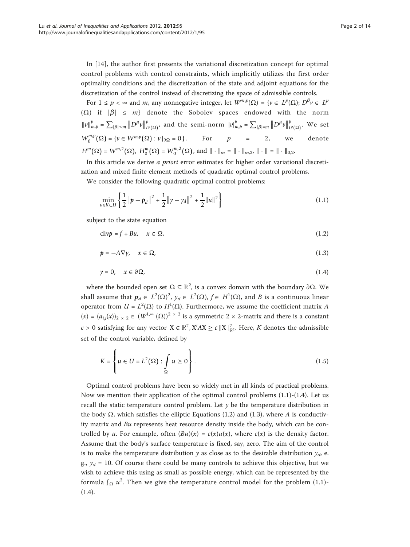In [\[14\]](#page-12-0), the author first presents the variational discretization concept for optimal control problems with control constraints, which implicitly utilizes the first order optimality conditions and the discretization of the state and adjoint equations for the discretization of the control instead of discretizing the space of admissible controls.

For  $1 \le p < \infty$  and *m*, any nonnegative integer, let  $W^{m,p}(\Omega) = \{v \in L^p(\Omega); D^p v \in L^p(\Omega)\}$ ( $\Omega$ ) if  $|\beta| \leq m$ } denote the Sobolev spaces endowed with the norm  $\left\Vert \nu\right\Vert _{m,p}^{p}=\sum_{\left\vert \beta\right\vert \leq m}\left\Vert D^{\beta}\nu\right\Vert$  $\sum_{l}^{p} p_{(\Omega)}$ , and the semi-norm  $|v|_{m,p}^{p} = \sum_{|\beta|=m} \|D^{\beta}v\|$  $_{L^{p}\left( \Omega\right) }^{p}.$  We set  $W_0^{m,p}(\Omega) = \{v \in W^{m,p}(\Omega) : v|_{\partial\Omega} = 0\}.$  For  $p = 2$ , we denote  $H^m(\Omega) = W^{m,2}(\Omega)$ ,  $H_0^m(\Omega) = W_0^{m,2}(\Omega)$ , and  $|| \cdot ||_m = || \cdot ||_{m,2}$ ,  $|| \cdot || = || \cdot ||_{0,2}$ .

In this article we derive a priori error estimates for higher order variational discretization and mixed finite element methods of quadratic optimal control problems.

We consider the following quadratic optimal control problems:

$$
\min_{u \in K \subset U} \left\{ \frac{1}{2} \left\| \boldsymbol{p} - \boldsymbol{p}_d \right\|^2 + \frac{1}{2} \left\| \gamma - \gamma_d \right\|^2 + \frac{1}{2} \left\| u \right\|^2 \right\} \tag{1.1}
$$

subject to the state equation

$$
\text{div}\mathbf{p} = f + Bu, \quad x \in \Omega,\tag{1.2}
$$

$$
\mathbf{p} = -A\nabla y, \quad x \in \Omega,\tag{1.3}
$$

$$
\gamma = 0, \quad x \in \partial \Omega,\tag{1.4}
$$

where the bounded open set  $\Omega \subset \mathbb{R}^2$ , is a convex domain with the boundary  $\partial \Omega$ . We shall assume that  $p_d \in L^2(\Omega)^2$ ,  $y_d \in L^2(\Omega)$ ,  $f \in H^1(\Omega)$ , and B is a continuous linear operator from  $U = L^2(\Omega)$  to  $H^1(\Omega)$ . Furthermore, we assume the coefficient matrix A  $(x)=(a_{ij}(x))_{2\times 2}\in (W^{1,\infty}(\Omega))^{2\times 2}$  is a symmetric  $2\times 2$ -matrix and there is a constant  $c > 0$  satisfying for any vector  $X \in \mathbb{R}^2$ ,  $X'AX ≥ c ||X||^2_{\mathbb{R}^2}$ . Here, K denotes the admissible set of the control variable, defined by

$$
K = \left\{ u \in U = L^{2}(\Omega) : \int_{\Omega} u \ge 0 \right\}.
$$
\n(1.5)

Optimal control problems have been so widely met in all kinds of practical problems. Now we mention their application of the optimal control problems  $(1.1)-(1.4)$ . Let us recall the static temperature control problem. Let  $\gamma$  be the temperature distribution in the body  $\Omega$ , which satisfies the elliptic Equations (1.2) and (1.3), where A is conductivity matrix and  $Bu$  represents heat resource density inside the body, which can be controlled by u. For example, often  $(Bu)(x) = c(x)u(x)$ , where  $c(x)$  is the density factor. Assume that the body's surface temperature is fixed, say, zero. The aim of the control is to make the temperature distribution y as close as to the desirable distribution  $y_d$ , e. g.,  $y_d = 10$ . Of course there could be many controls to achieve this objective, but we wish to achieve this using as small as possible energy, which can be represented by the formula  $\int_{\Omega} u^2$ . Then we give the temperature control model for the problem (1.1)-(1.4).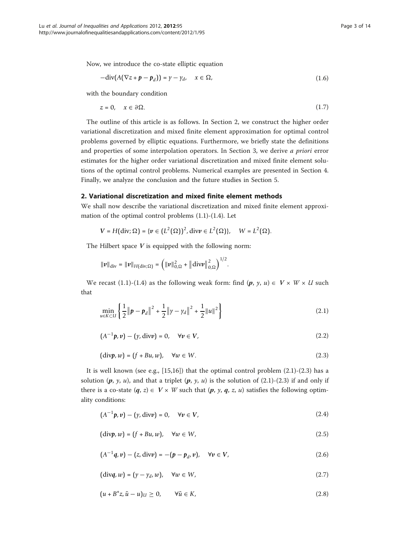Now, we introduce the co-state elliptic equation

$$
-\text{div}(A(\nabla z + \mathbf{p} - \mathbf{p}_d)) = \gamma - \gamma_d, \quad x \in \Omega,
$$
\n(1.6)

with the boundary condition

$$
z = 0, \quad x \in \partial \Omega. \tag{1.7}
$$

The outline of this article is as follows. In Section 2, we construct the higher order variational discretization and mixed finite element approximation for optimal control problems governed by elliptic equations. Furthermore, we briefly state the definitions and properties of some interpolation operators. In Section 3, we derive a priori error estimates for the higher order variational discretization and mixed finite element solutions of the optimal control problems. Numerical examples are presented in Section 4. Finally, we analyze the conclusion and the future studies in Section 5.

## 2. Variational discretization and mixed finite element methods

We shall now describe the variational discretization and mixed finite element approximation of the optimal control problems (1.1)-(1.4). Let

$$
V = H(\text{div}; \Omega) = \{v \in (L^2(\Omega))^2, \text{div}v \in L^2(\Omega)\}, \quad W = L^2(\Omega).
$$

The Hilbert space  $V$  is equipped with the following norm:

$$
\|\nu\|_{\text{div}} = \|\nu\|_{H(\text{div};\Omega)} = \left(\|\nu\|_{0,\Omega}^2 + \left\|\text{div}\nu\right\|_{0,\Omega}^2\right)^{1/2}.
$$

We recast (1.1)-(1.4) as the following weak form: find  $(p, y, u) \in V \times W \times U$  such that

$$
\min_{u \in K \subset U} \left\{ \frac{1}{2} \left\| \boldsymbol{p} - \boldsymbol{p}_d \right\|^2 + \frac{1}{2} \left\| \boldsymbol{\gamma} - \boldsymbol{\gamma}_d \right\|^2 + \frac{1}{2} \left\| \boldsymbol{u} \right\|^2 \right\} \tag{2.1}
$$

$$
(A^{-1}p, v) - (y, \text{div}v) = 0, \quad \forall v \in V,
$$
\n
$$
(2.2)
$$

$$
(\text{div}\mathbf{p}, w) = (f + Bu, w), \quad \forall w \in W.
$$
 (2.3)

It is well known (see e.g.,  $[15,16]$  $[15,16]$ ) that the optimal control problem  $(2.1)-(2.3)$  has a solution  $(p, y, u)$ , and that a triplet  $(p, y, u)$  is the solution of  $(2.1)-(2.3)$  if and only if there is a co-state  $(q, z) \in V \times W$  such that  $(p, y, q, z, u)$  satisfies the following optimality conditions:

$$
(A^{-1}p, v) - (y, \text{div}v) = 0, \quad \forall v \in V,
$$
\n
$$
(2.4)
$$

$$
(\text{div} \mathbf{p}, w) = (f + Bu, w), \quad \forall w \in W,
$$
\n
$$
(2.5)
$$

$$
(A^{-1}q, v) - (z, divv) = -(p - p_{d}, v), \quad \forall v \in V,
$$
\n(2.6)

$$
(\text{div}q, w) = (\gamma - \gamma_d, w), \quad \forall w \in W,
$$
\n
$$
(2.7)
$$

$$
(u + B^*z, \tilde{u} - u)_{U} \ge 0, \qquad \forall \tilde{u} \in K,
$$
\n
$$
(2.8)
$$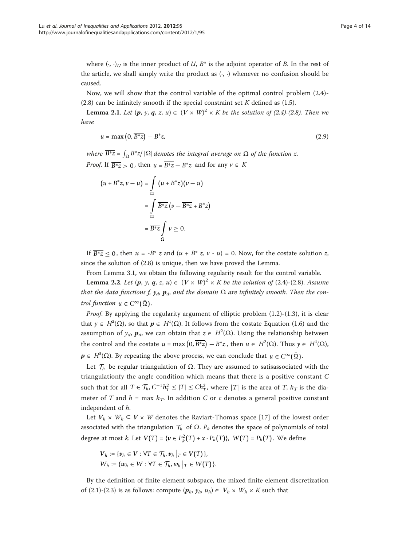where  $(\cdot, \cdot)_{U}$  is the inner product of U,  $B^*$  is the adjoint operator of B. In the rest of the article, we shall simply write the product as  $(·, ·)$  whenever no confusion should be caused.

Now, we will show that the control variable of the optimal control problem (2.4)- (2.8) can be infinitely smooth if the special constraint set  $K$  defined as (1.5).

**Lemma 2.1**. Let  $(p, y, q, z, u) \in (V \times W)^2 \times K$  be the solution of (2.4)-(2.8). Then we have

$$
u = \max\left(0, \overline{B^*z}\right) - B^*z,\tag{2.9}
$$

where  $\overline{B^*z} = \int_{\Omega} B^*z / |\Omega|$  denotes the integral average on  $\Omega$  of the function z. *Proof.* If  $\overline{B^*z} > 0$ , then  $u = \overline{B^*z} - B^*z$  and for any  $v \in K$ 

$$
(u + B^*z, v - u) = \int_{\Omega} (u + B^*z)(v - u)
$$

$$
= \int_{\Omega} \overline{B^*z} (v - \overline{B^*z} + B^*z)
$$

$$
= \overline{B^*z} \int_{\Omega} v \ge 0.
$$

If  $\overline{B^*z}$  < 0, then  $u = -B^* z$  and  $(u + B^* z, v - u) = 0$ . Now, for the costate solution z, since the solution of (2.8) is unique, then we have proved the Lemma.

From Lemma 3.1, we obtain the following regularity result for the control variable.

**Lemma 2.2.** Let  $(p, y, q, z, u) \in (V \times W)^2 \times K$  be the solution of (2.4)-(2.8). Assume that the data functions f,  $y_d$ ,  $p_d$ , and the domain  $\Omega$  are infinitely smooth. Then the control function  $u \in C^{\infty}(\overline{\Omega})$ .

Proof. By applying the regularity argument of elliptic problem (1.2)-(1.3), it is clear that  $y \in H^2(\Omega)$ , so that  $p \in H^1(\Omega)$ . It follows from the costate Equation (1.6) and the assumption of  $y_d$ ,  $p_d$ , we can obtain that  $z \in H^2(\Omega)$ . Using the relationship between the control and the costate  $u = \max(0, \overline{B^*z}) - B^*z$ , then  $u \in H^2(\Omega)$ . Thus  $y \in H^4(\Omega)$ ,  $p \in H^3(\Omega)$ . By repeating the above process, we can conclude that  $u \in C^\infty(\bar{\Omega})$ .

Let  $\mathcal{T}_h$  be regular triangulation of Ω. They are assumed to satisassociated with the triangulationfy the angle condition which means that there is a positive constant C such that for all  $T \in \mathcal{T}_h$ ,  $C^{-1}h_T^2 \leq |T| \leq Ch_T^2$ , where  $|T|$  is the area of  $T$ ,  $h_T$  is the diameter of T and  $h = \max h_T$ . In addition C or c denotes a general positive constant independent of h.

Let  $V_h \times W_h \subset V \times W$  denotes the Raviart-Thomas space [\[17](#page-12-0)] of the lowest order associated with the triangulation  $\mathcal{T}_h$  of  $\Omega$ .  $P_k$  denotes the space of polynomials of total degree at most *k*. Let  $V(T) = \{v \in P_k^2(T) + x \cdot P_k(T)\}$ ,  $W(T) = P_k(T)$ . We define

$$
V_h := \{v_h \in V : \forall T \in \mathcal{T}_h, v_h |_T \in V(T)\},\
$$
  

$$
W_h := \{w_h \in W : \forall T \in \mathcal{T}_h, w_h |_T \in W(T)\}.
$$

By the definition of finite element subspace, the mixed finite element discretization of (2.1)-(2.3) is as follows: compute  $(p_h, y_h, u_h) \in V_h \times W_h \times K$  such that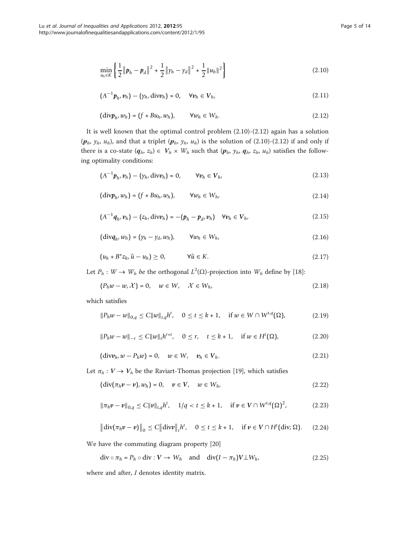$$
\min_{u_h \in K} \left\{ \frac{1}{2} \left\| \boldsymbol{p}_h - \boldsymbol{p}_d \right\|^2 + \frac{1}{2} \left\| \gamma_h - \gamma_d \right\|^2 + \frac{1}{2} \left\| u_h \right\|^2 \right\} \tag{2.10}
$$

$$
\left(A^{-1}\boldsymbol{p}_h,\boldsymbol{v}_h\right)-\left(\gamma_h,\mathrm{div}\boldsymbol{v}_h\right)=0,\quad \forall \boldsymbol{v}_h\in V_h,\tag{2.11}
$$

$$
(\text{div} \boldsymbol{p}_h, w_h) = (f + Bu_h, w_h), \qquad \forall w_h \in W_h.
$$
\n(2.12)

It is well known that the optimal control problem (2.10)-(2.12) again has a solution  $(p_h, y_h, u_h)$ , and that a triplet  $(p_h, y_h, u_h)$  is the solution of (2.10)-(2.12) if and only if there is a co-state  $(q_h, z_h) \in V_h \times W_h$  such that  $(p_h, y_h, q_h, z_h, u_h)$  satisfies the following optimality conditions:

$$
(A^{-1}p_h, v_h) - (y_h, \text{div}v_h) = 0, \qquad \forall v_h \in V_h,
$$
\n
$$
(2.13)
$$

$$
(\text{div} \boldsymbol{p}_h, w_h) = (f + Bu_h, w_h), \qquad \forall w_h \in W_h, \tag{2.14}
$$

$$
\left(A^{-1}\boldsymbol{q}_h,\boldsymbol{v}_h\right)-\left(z_h,\mathrm{div}\boldsymbol{v}_h\right)=-\left(\boldsymbol{p}_h-\boldsymbol{p}_d,\boldsymbol{v}_h\right)\quad\forall\boldsymbol{v}_h\in\boldsymbol{V}_h,\tag{2.15}
$$

$$
(\text{div}q_{h}, w_{h}) = (\gamma_{h} - \gamma_{d}, w_{h}), \qquad \forall w_{h} \in W_{h}, \qquad (2.16)
$$

$$
(u_h + B^* z_h, \tilde{u} - u_h) \ge 0, \qquad \forall \tilde{u} \in K. \tag{2.17}
$$

Let  $P_h: W \to W_h$  be the orthogonal  $L^2(\Omega)$ -projection into  $W_h$  define by [[18](#page-12-0)]:

$$
(P_h w - w, \mathcal{X}) = 0, \quad w \in W, \quad \mathcal{X} \in W_h,
$$
\n
$$
(2.18)
$$

which satisfies

$$
||P_h w - w||_{0,q} \le C ||w||_{t,q} h^t, \quad 0 \le t \le k+1, \quad \text{if } w \in W \cap W^{t,q}(\Omega), \tag{2.19}
$$

$$
||P_h w - w||_{-r} \le C||w||_t h^{r+t}, \quad 0 \le r, \quad t \le k+1, \quad \text{if } w \in H^t(\Omega), \tag{2.20}
$$

$$
(\text{div} \nu_h, w - P_h w) = 0, \quad w \in W, \quad \nu_h \in V_h. \tag{2.21}
$$

Let  $\pi_h : V \to V_h$  be the Raviart-Thomas projection [[19](#page-13-0)], which satisfies

$$
(\text{div}(\pi_h \nu - \nu), w_h) = 0, \quad \nu \in V, \quad w \in W_h,
$$
\n
$$
(2.22)
$$

$$
\|\pi_h v - v\|_{0,q} \le C \|v\|_{t,q} h^t, \quad 1/q < t \le k+1, \quad \text{if } v \in V \cap W^{t,q}(\Omega)^2,
$$
 (2.23)

$$
\left\|\operatorname{div}(\pi_h v - v)\right\|_0 \le C \left\|\operatorname{div} v\right\|_t h^t, \quad 0 \le t \le k + 1, \quad \text{if } v \in V \cap H^t(\operatorname{div}; \Omega). \tag{2.24}
$$

We have the commuting diagram property [\[20](#page-13-0)]

$$
\operatorname{div} \circ \pi_h = P_h \circ \operatorname{div} : V \to W_h \quad \text{and} \quad \operatorname{div}(I - \pi_h)V \perp W_h, \tag{2.25}
$$

where and after, I denotes identity matrix.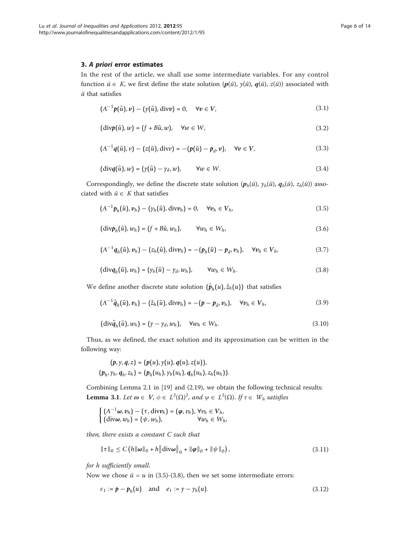## 3. A priori error estimates

In the rest of the article, we shall use some intermediate variables. For any control function  $\tilde{u} \in K$ , we first define the state solution  $(p(\tilde{u}), y(\tilde{u}), q(\tilde{u}), z(\tilde{u}))$  associated with  $\tilde{u}$  that satisfies

$$
(A^{-1}\mathbf{p}(\tilde{u}),v) - (\gamma(\tilde{u}),\mathrm{div}v) = 0, \quad \forall v \in V,
$$
\n(3.1)

$$
(\text{div}p(\tilde{u}), w) = (f + B\tilde{u}, w), \quad \forall w \in W,
$$
\n(3.2)

$$
(A^{-1}q(\tilde{u}),v) - (z(\tilde{u}),\text{div}v) = -\left(p(\tilde{u}) - p_{d},v\right), \quad \forall v \in V,
$$
\n(3.3)

$$
(\text{div}q(\tilde{u}), w) = (\gamma(\tilde{u}) - \gamma_d, w), \qquad \forall w \in W.
$$
\n(3.4)

Correspondingly, we define the discrete state solution  $(p_h(\tilde{u}), y_h(\tilde{u}), q_h(\tilde{u}), z_h(\tilde{u}))$  associated with  $\tilde{u} \in K$  that satisfies

$$
(A^{-1}p_h(\tilde{u}), v_h) - (y_h(\tilde{u}), \text{div}v_h) = 0, \quad \forall v_h \in V_h,
$$
\n(3.5)

$$
(\text{div} \boldsymbol{p}_h(\tilde{u}), w_h) = (f + B\tilde{u}, w_h), \qquad \forall w_h \in W_h, \tag{3.6}
$$

$$
(A^{-1}\boldsymbol{q}_h(\tilde{u}),\boldsymbol{v}_h)-(z_h(\tilde{u}),\text{div}\boldsymbol{v}_h)=-(\boldsymbol{p}_h(\tilde{u})-\boldsymbol{p}_d,\boldsymbol{v}_h),\quad\forall\boldsymbol{v}_h\in V_h,\tag{3.7}
$$

$$
(\text{div}q_h(\tilde{u}), w_h) = (\gamma_h(\tilde{u}) - \gamma_d, w_h), \qquad \forall w_h \in W_h.
$$
\n(3.8)

We define another discrete state solution  $(\hat{p}_h(u), \hat{z}_h(u))$  that satisfies

$$
(A^{-1}\hat{\boldsymbol{q}}_h(\tilde{u}),\boldsymbol{v}_h) - (\hat{z}_h(\tilde{u}),\mathrm{div}\boldsymbol{v}_h) = -(\boldsymbol{p}-\boldsymbol{p}_d,\boldsymbol{v}_h), \quad \forall \boldsymbol{v}_h \in \boldsymbol{V}_h, \tag{3.9}
$$

$$
(\text{div}\hat{\boldsymbol{q}}_h(\tilde{u}),w_h)=(\gamma-\gamma_d,w_h),\quad \forall w_h\in W_h. \hspace{1cm} (3.10)
$$

Thus, as we defined, the exact solution and its approximation can be written in the following way:

$$
(\rho, \gamma, q, z) = (\rho(u), \gamma(u), q(u), z(u)),
$$
  

$$
(\rho_h, \gamma_h, q_h, z_h) = (\rho_h(u_h), \gamma_h(u_h), q_h(u_h), z_h(u_h)).
$$

Combining Lemma 2.1 in [[19](#page-13-0)] and (2.19), we obtain the following technical results: **Lemma 3.1.** Let  $\omega \in V$ ,  $\phi \in L^2(\Omega)^2$ , and  $\psi \in L^2(\Omega)$ . If  $\tau \in W_h$  satisfies

$$
\begin{cases} (A^{-1}\omega, v_h) - (\tau, \text{div}v_h) = (\varphi, v_h), \forall v_h \in V_h, \\ (\text{div}\omega, w_h) = (\psi, w_h), \qquad \forall w_h \in W_h, \end{cases}
$$

then, there exists a constant C such that

$$
\|\tau\|_0 \le C \left( h \|\boldsymbol{\omega}\|_0 + h \left\| \text{div}\boldsymbol{\omega} \right\|_0 + \|\boldsymbol{\varphi}\|_0 + \|\psi\|_0 \right),\tag{3.11}
$$

for h sufficiently small.

Now we chose  $\tilde{u} = u$  in (3.5)-(3.8), then we set some intermediate errors:

$$
\varepsilon_1 := \mathbf{p} - \mathbf{p}_h(u) \quad \text{and} \quad e_1 := \gamma - \gamma_h(u). \tag{3.12}
$$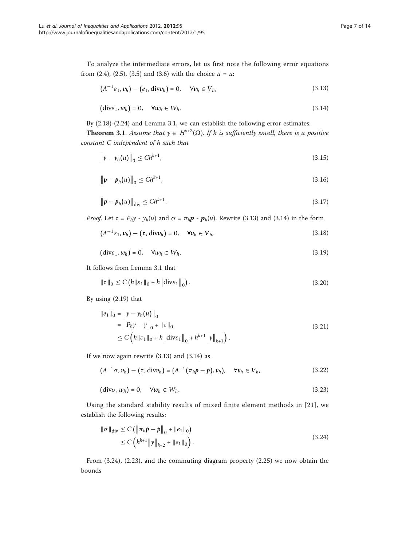To analyze the intermediate errors, let us first note the following error equations from (2.4), (2.5), (3.5) and (3.6) with the choice  $\tilde{u} = u$ :

$$
(A^{-1}\varepsilon_1, \nu_h) - (e_1, \text{div}\nu_h) = 0, \quad \forall \nu_h \in V_h,
$$
\n(3.13)

$$
(\text{div}\varepsilon_1, w_h) = 0, \quad \forall w_h \in W_h. \tag{3.14}
$$

By (2.18)-(2.24) and Lemma 3.1, we can establish the following error estimates:

**Theorem 3.1.** Assume that  $y \in H^{k+3}(\Omega)$ . If h is sufficiently small, there is a positive constant C independent of h such that

$$
\|\gamma - \gamma_h(u)\|_0 \le Ch^{k+1},\tag{3.15}
$$

$$
\|\boldsymbol{p}-\boldsymbol{p}_h(u)\|_0 \leq Ch^{k+1},\tag{3.16}
$$

$$
\|\boldsymbol{p} - \boldsymbol{p}_h(u)\|_{\text{div}} \le C h^{k+1}.\tag{3.17}
$$

*Proof.* Let  $\tau = P_h y - y_h(u)$  and  $\sigma = \pi_h p - p_h(u)$ . Rewrite (3.13) and (3.14) in the form

$$
(A^{-1}\varepsilon_1, \nu_h) - (\tau, \text{div}\nu_h) = 0, \quad \forall \nu_h \in V_h,
$$
\n(3.18)

$$
(\text{div}\varepsilon_1, w_h) = 0, \quad \forall w_h \in W_h.
$$
\n
$$
(3.19)
$$

It follows from Lemma 3.1 that

$$
\|\tau\|_{0} \le C \left( h \| \varepsilon_{1} \|_{0} + h \| \text{div} \varepsilon_{1} \|_{0} \right). \tag{3.20}
$$

By using (2.19) that

$$
\begin{aligned} ||e_1||_0 &= ||y - y_h(u)||_0 \\ &= ||P_h y - y||_0 + ||\tau||_0 \\ &\leq C \left( h||\varepsilon_1||_0 + h||\text{div}\varepsilon_1||_0 + h^{k+1}||y||_{k+1} \right). \end{aligned} \tag{3.21}
$$

If we now again rewrite (3.13) and (3.14) as

$$
(A^{-1}\sigma, \nu_h) - (\tau, \text{div}\nu_h) = (A^{-1}(\pi_h\mathbf{p} - \mathbf{p}), \nu_h), \quad \forall \nu_h \in V_h,
$$
\n(3.22)

$$
(\text{div}\sigma, w_h) = 0, \quad \forall w_h \in W_h. \tag{3.23}
$$

Using the standard stability results of mixed finite element methods in [[21\]](#page-13-0), we establish the following results:

$$
\|\sigma\|_{\text{div}} \leq C \left( \|\pi_h \mathbf{p} - \mathbf{p}\|_0 + \|e_1\|_0 \right) \n\leq C \left( h^{k+1} \|\mathbf{y}\|_{k+2} + \|e_1\|_0 \right).
$$
\n(3.24)

From (3.24), (2.23), and the commuting diagram property (2.25) we now obtain the bounds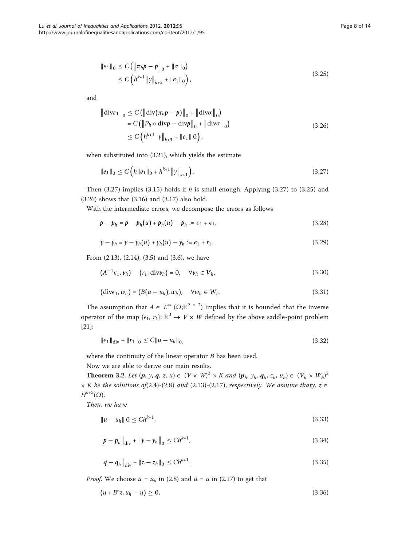$$
\| \varepsilon_{1} \|_{0} \leq C \left( \left\| \pi_{h} \mathbf{p} - \mathbf{p} \right\|_{0} + \|\sigma\|_{0} \right) \n\leq C \left( h^{k+1} \left\| \gamma \right\|_{k+2} + \|e_{1}\|_{0} \right),
$$
\n(3.25)

and

$$
\|\text{div}\varepsilon_{1}\|_{0} \leq C \left( \|\text{div}(\pi_{h} \mathbf{p} - \mathbf{p})\|_{0} + \|\text{div}\sigma\|_{0} \right) \n= C \left( \|P_{h} \circ \text{div}\mathbf{p} - \text{div}\mathbf{p}\|_{0} + \|\text{div}\sigma\|_{0} \right) \n\leq C \left( h^{k+1} \|y\|_{k+3} + \|e_{1}\| 0 \right),
$$
\n(3.26)

when substituted into (3.21), which yields the estimate

$$
\|e_1\|_0 \le C \left( h \|e_1\|_0 + h^{k+1} \|y\|_{k+1} \right). \tag{3.27}
$$

Then  $(3.27)$  implies  $(3.15)$  holds if h is small enough. Applying  $(3.27)$  to  $(3.25)$  and (3.26) shows that (3.16) and (3.17) also hold.

With the intermediate errors, we decompose the errors as follows

$$
\boldsymbol{p} - \boldsymbol{p}_h = \boldsymbol{p} - \boldsymbol{p}_h(u) + \boldsymbol{p}_h(u) - \boldsymbol{p}_h := \varepsilon_1 + \varepsilon_1,\tag{3.28}
$$

$$
\gamma - \gamma_h = \gamma - \gamma_h(u) + \gamma_h(u) - \gamma_h := e_1 + r_1. \tag{3.29}
$$

From (2.13), (2.14), (3.5) and (3.6), we have

$$
(A^{-1}\epsilon_1, \nu_h) - (r_1, \text{div}\nu_h) = 0, \quad \forall \nu_h \in V_h,
$$
\n
$$
(3.30)
$$

$$
(\text{div}\epsilon_1, w_h) = (B(u - u_h), w_h), \quad \forall w_h \in W_h.
$$
\n
$$
(3.31)
$$

The assumption that  $A \in L^{\infty} (\Omega; \mathbb{R}^{2 \times 2})$  implies that it is bounded that the inverse operator of the map { $\epsilon_1$ ,  $r_1$ }:  $\mathbb{R}^3 \to V \times W$  defined by the above saddle-point problem [[21\]](#page-13-0):

$$
\|\epsilon_1\|_{\text{div}} + \|r_1\|_0 \le C \|u - u_h\|_0, \tag{3.32}
$$

where the continuity of the linear operator *B* has been used.

Now we are able to derive our main results.

**Theorem 3.2.** Let  $(p, y, q, z, u) \in (V \times W)^2 \times K$  and  $(p_h, y_h, q_h, z_h, u_h) \in (V_h \times W_h)^2$  $\times$  K be the solutions of(2.4)-(2.8) and (2.13)-(2.17), respectively. We assume thaty,  $z \in$  $H^{k+3}(\Omega)$ .

Then, we have

$$
||u - u_h|| \leq Ch^{k+1}, \tag{3.33}
$$

$$
\|\pmb{p} - \pmb{p}_h\|_{\text{div}} + \|\pmb{\gamma} - \pmb{\gamma}_h\|_0 \le Ch^{k+1},\tag{3.34}
$$

$$
\|q - q_h\|_{\text{div}} + \|z - z_h\|_0 \le Ch^{k+1}.
$$
\n(3.35)

*Proof.* We choose  $\tilde{u} = u_h$  in (2.8) and  $\tilde{u} = u$  in (2.17) to get that

$$
(u + B^*z, u_h - u) \ge 0,
$$
\n(3.36)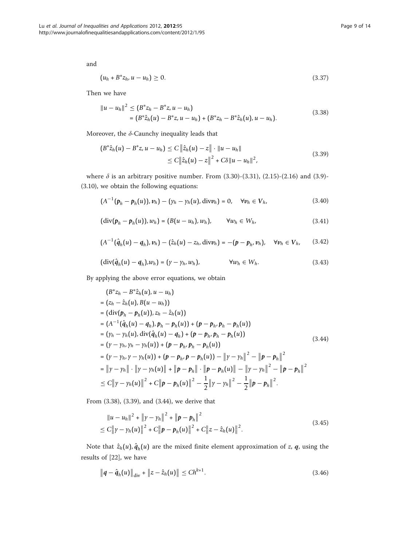and

$$
(u_h + B^* z_h, u - u_h) \ge 0. \tag{3.37}
$$

Then we have

$$
||u - u_h||^2 \le (B^* z_h - B^* z, u - u_h)
$$
  
=  $(B^* \hat{z}_h (u) - B^* z, u - u_h) + (B^* z_h - B^* \hat{z}_h (u), u - u_h).$  (3.38)

Moreover, the  $\delta$ -Caunchy inequality leads that

$$
(B^*\hat{z}_h(u) - B^*z, u - u_h) \leq C \|\hat{z}_h(u) - z\| \cdot \|u - u_h\|
$$
  
\n
$$
\leq C \|\hat{z}_h(u) - z\|^2 + C\delta \|u - u_h\|^2,
$$
\n(3.39)

where  $\delta$  is an arbitrary positive number. From (3.30)-(3.31), (2.15)-(2.16) and (3.9)-(3.10), we obtain the following equations:

$$
(A^{-1}(\mathbf{p}_h - \mathbf{p}_h(u)), \mathbf{v}_h) - (\mathbf{y}_h - \mathbf{y}_h(u), \text{div}\mathbf{v}_h) = 0, \quad \forall \mathbf{v}_h \in V_h,
$$
 (3.40)

$$
(\text{div}(\boldsymbol{p}_h - \boldsymbol{p}_h(u)), w_h) = (B(u - u_h), w_h), \qquad \forall w_h \in W_h, \qquad (3.41)
$$

$$
(A^{-1}(\hat{q}_h(u)-q_h),v_h)-(\hat{z}_h(u)-z_h,\text{div}v_h) = -(\mathbf{p}-\mathbf{p}_h,v_h), \quad \forall v_h \in V_h, \qquad (3.42)
$$

$$
(\text{div}(\hat{q}_h(u)-q_h),w_h)=(\gamma-\gamma_h,w_h),\qquad\forall w_h\in W_h. \qquad (3.43)
$$

By applying the above error equations, we obtain

$$
(B^*z_h - B^*\hat{z}_h(u), u - u_h)
$$
  
=  $(z_h - \hat{z}_h(u), B(u - u_h))$   
=  $(\text{div}(\mathbf{p}_h - \mathbf{p}_h(u)), z_h - \hat{z}_h(u))$   
=  $(A^{-1}(\hat{q}_h(u) - q_h), \mathbf{p}_h - \mathbf{p}_h(u)) + (\mathbf{p} - \mathbf{p}_h, \mathbf{p}_h - \mathbf{p}_h(u))$   
=  $(y_h - y_h(u), \text{div}(\hat{q}_h(u) - q_h) + (\mathbf{p} - \mathbf{p}_h, \mathbf{p}_h - \mathbf{p}_h(u))$   
=  $(y - y_h, y_h - y_h(u)) + (\mathbf{p} - \mathbf{p}_h, \mathbf{p}_h - \mathbf{p}_h(u))$   
=  $(y - y_h, y - y_h(u)) + (\mathbf{p} - \mathbf{p}_h, \mathbf{p}_h - \mathbf{p}_h(u)) - ||y - y_h||^2 - ||\mathbf{p} - \mathbf{p}_h||^2$   
=  $||y - y_h|| \cdot ||y - y_h(u)|| + ||\mathbf{p} - \mathbf{p}_h|| \cdot ||\mathbf{p} - \mathbf{p}_h(u)|| - ||y - y_h||^2 - ||\mathbf{p} - \mathbf{p}_h||^2$   
 $\leq C||y - y_h(u)||^2 + C||\mathbf{p} - \mathbf{p}_h(u)||^2 - \frac{1}{2}||y - y_h||^2 - \frac{1}{2}||\mathbf{p} - \mathbf{p}_h||^2.$  (3.44)

From (3.38), (3.39), and (3.44), we derive that

$$
||u - u_h||^2 + ||y - y_h||^2 + ||p - p_h||^2
$$
  
\n
$$
\leq C||y - y_h(u)||^2 + C||p - p_h(u)||^2 + C||z - \hat{z}_h(u)||^2.
$$
\n(3.45)

Note that  $\hat{z}_h(u)$ ,  $\hat{q}_h(u)$  are the mixed finite element approximation of z, q, using the results of [[22\]](#page-13-0), we have

$$
\|q - \hat{q}_h(u)\|_{\text{div}} + \|z - \hat{z}_h(u)\| \leq Ch^{k+1}.
$$
 (3.46)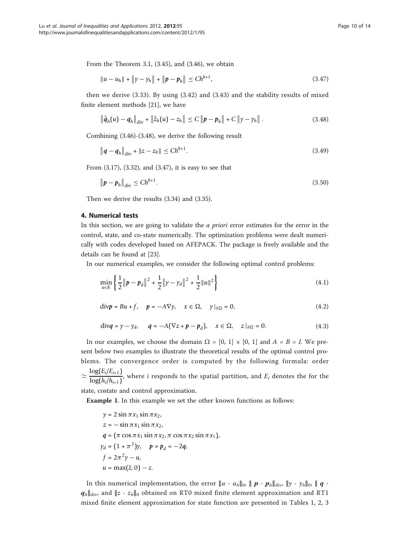From the Theorem 3.1, (3.45), and (3.46), we obtain

$$
||u - u_h|| + ||y - y_h|| + ||p - p_h|| \leq Ch^{k+1},
$$
\n(3.47)

then we derive (3.33). By using (3.42) and (3.43) and the stability results of mixed finite element methods [[21](#page-13-0)], we have

$$
\|\hat{q}_h(u) - q_h\|_{div} + \|\hat{z}_h(u) - z_h\| \le C\|\rho - p_h\| + C\|\gamma - \gamma_h\|.
$$
 (3.48)

Combining (3.46)-(3.48), we derive the following result

$$
\|q - q_h\|_{\text{div}} + \|z - z_h\| \le Ch^{k+1}.
$$
\n(3.49)

From (3.17), (3.32), and (3.47), it is easy to see that

$$
\|\boldsymbol{p} - \boldsymbol{p}_h\|_{\text{div}} \le C h^{k+1}.\tag{3.50}
$$

Then we derive the results (3.34) and (3.35).

## 4. Numerical tests

In this section, we are going to validate the *a priori* error estimates for the error in the control, state, and co-state numerically. The optimization problems were dealt numerically with codes developed based on AFEPACK. The package is freely available and the details can be found at [[23\]](#page-13-0).

In our numerical examples, we consider the following optimal control problems:

$$
\min_{u \in K} \left\{ \frac{1}{2} \left\| \boldsymbol{p} - \boldsymbol{p}_d \right\|^2 + \frac{1}{2} \left\| \boldsymbol{\gamma} - \boldsymbol{\gamma}_d \right\|^2 + \frac{1}{2} \left\| \boldsymbol{u} \right\|^2 \right\} \tag{4.1}
$$

$$
\text{div}\boldsymbol{p} = B\boldsymbol{u} + \boldsymbol{f}, \quad \boldsymbol{p} = -A\nabla\gamma, \quad \boldsymbol{x} \in \Omega, \quad \gamma \mid_{\partial\Omega} = 0,\tag{4.2}
$$

$$
\text{div}\boldsymbol{q} = \gamma - \gamma_d, \quad \boldsymbol{q} = -A(\nabla z + \boldsymbol{p} - \boldsymbol{p}_d), \quad x \in \Omega, \quad z|_{\partial \Omega} = 0. \tag{4.3}
$$

In our examples, we choose the domain  $\Omega = [0, 1] \times [0, 1]$  and  $A = B = I$ . We present below two examples to illustrate the theoretical results of the optimal control problems. The convergence order is computed by the following formula: order  $\simeq \frac{\log(E_i/E_{i+1})}{\log(h_i/h_{i+1})}$ , where *i* responds to the spatial partition, and  $E_i$  denotes the for the

state, costate and control approximation.

Example 1. In this example we set the other known functions as follows:

 $y = 2 \sin \pi x_1 \sin \pi x_2$ ,  $z = -\sin \pi x_1 \sin \pi x_2$ ,  $q = (\pi \cos \pi x_1 \sin \pi x_2, \pi \cos \pi x_2 \sin \pi x_1),$  $\gamma_d = (1 + \pi^2)\gamma$ ,  $p = p_d = -2q$ ,  $f = 2\pi^2 y - u$ ,  $u = \max(\bar{z}, 0) - z$ .

In this numerical implementation, the error  $||u - u_h||_0$ ,  $||p - p_h||_{div}$ ,  $||y - y_h||_0$ ,  $||q$  $q_h$ <sub>∥div</sub>, and  $\|z - z_h\|_0$  obtained on RT0 mixed finite element approximation and RT1 mixed finite element approximation for state function are presented in Tables [1](#page-10-0), [2, 3](#page-10-0)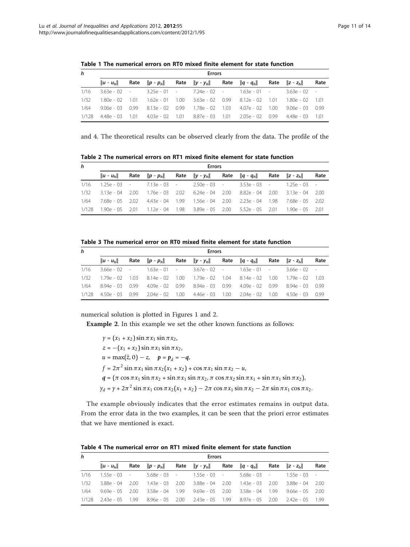| h     | <b>Errors</b> |      |                                                             |  |                                                    |  |            |        |                    |        |
|-------|---------------|------|-------------------------------------------------------------|--|----------------------------------------------------|--|------------|--------|--------------------|--------|
|       | $\ u - u_h\ $ |      | Rate $  p - p_h  $                                          |  | Rate $  y - y_h  $ Rate $  q - q_h  $              |  |            |        | Rate $\ z - z_h\ $ | Rate   |
| 1/16  |               |      | $3.63e - 02$ - $3.25e - 01$ - $7.24e - 02$ - $1.63e - 01$ - |  |                                                    |  |            |        | 363e - 02 -        |        |
| 1/32  | 180e - 02 101 |      | $1.62e - 01$ $1.00$ $3.63e - 02$ 0.99                       |  |                                                    |  | 8.12e - 02 |        | 101 180e - 02      | $-101$ |
| 1/64  | 906e - 03     | 0.99 | 8.13e - 02 0.99                                             |  | - 1.78e - 02 - 1.03 - 4.07e - 02                   |  |            | - 1.00 | 906e - 03          | 099    |
| 1/128 | 448e - 03     | 1.01 |                                                             |  | 4.03e - 02 - 1.01 - 8.87e - 03 - 1.01 - 2.05e - 02 |  |            | O 99   | 448e - 03          | - 1.01 |

<span id="page-10-0"></span>Table 1 The numerical errors on RT0 mixed finite element for state function

and 4. The theoretical results can be observed clearly from the data. The profile of the

Table 2 The numerical errors on RT1 mixed finite element for state function

| h    | <b>Errors</b>            |  |                                                          |  |  |  |                                                                                       |  |                    |      |
|------|--------------------------|--|----------------------------------------------------------|--|--|--|---------------------------------------------------------------------------------------|--|--------------------|------|
|      | $  u - u_h  $            |  | Rate $\ p - p_h\ $ Rate $\ y - y_h\ $ Rate $\ q - q_h\ $ |  |  |  |                                                                                       |  | Rate $\ z - z_h\ $ | Rate |
|      |                          |  |                                                          |  |  |  | $1/16$ $1.25e - 03$ - $7.13e - 03$ - $2.50e - 03$ - $3.53e - 03$ - $1.25e - 03$ -     |  |                    |      |
|      | $1/32$ $313e - 04$ $200$ |  | - 1.76e - 03 - 2.02 - 6.24e - 04 - 2.00                  |  |  |  | 8.82e - 04 2.00 3.13e - 04 2.00                                                       |  |                    |      |
| 1/64 |                          |  |                                                          |  |  |  | 7.68e - 05 2.02 24.43e - 04 2.04 2.06 - 04 2.02 2.23e - 04 2.198 2.68e - 05 2.02      |  |                    |      |
|      |                          |  |                                                          |  |  |  | 1/128 1.90e - 05 2.01 1.12e - 04 1.98 3.89e - 05 2.00 5.52e - 05 2.01 1.90e - 05 2.01 |  |                    |      |

Table 3 The numerical error on RT0 mixed finite element for state function

| h     | Errors           |      |                                                                 |  |                                       |  |             |      |                         |        |
|-------|------------------|------|-----------------------------------------------------------------|--|---------------------------------------|--|-------------|------|-------------------------|--------|
|       | $  u - u_h  $    |      | Rate $  p - p_h  $                                              |  | Rate $  y - y_h  $ Rate $  q - q_h  $ |  |             |      | Rate $  z - z_h  $      | Rate   |
| 1/16  | 3.66е - 02     - |      | $1.63e - 01 = 3.67e - 02 =$                                     |  |                                       |  | 163e - 01 - |      | 366e - 02 -             |        |
| 1/32  | 1 79e - 02       | 1.03 | 8.14e - 02 1.00                                                 |  |                                       |  |             |      | 1 79e - 02              | - 1.03 |
| 1/64  | 8 ዓ4e - 03       | O 99 | 4.09e - 02 - 0.99 - 8.94e - 03 - 0.99 - 4.09e - 02              |  |                                       |  |             | 0.99 | 894e - 03               | 0.99   |
| 1/128 | 450e - 03        | 0.99 | 2.04e - 02     1.00       4.46e - 03      1.00       2.04e - 02 |  |                                       |  |             |      | $1.00 \quad 4.50e - 03$ | 0.99   |

numerical solution is plotted in Figures [1](#page-11-0) and [2](#page-11-0).

Example 2. In this example we set the other known functions as follows:

 $y = (x_1 + x_2) \sin \pi x_1 \sin \pi x_2$  $z = -(x_1 + x_2) \sin \pi x_1 \sin \pi x_2$  $u = \max(\bar{z}, 0) - z$ ,  $p = p_d = -q$ ,  $f = 2\pi^2 \sin \pi x_1 \sin \pi x_2(x_1 + x_2) + \cos \pi x_1 \sin \pi x_2 - u$  $q = (\pi \cos \pi x_1 \sin \pi x_2 + \sin \pi x_1 \sin \pi x_2, \pi \cos \pi x_2 \sin \pi x_1 + \sin \pi x_1 \sin \pi x_2),$  $y_d = y + 2\pi^2 \sin \pi x_1 \cos \pi x_2(x_1 + x_2) - 2\pi \cos \pi x_1 \sin \pi x_2 - 2\pi \sin \pi x_1 \cos \pi x_2$ .

The example obviously indicates that the error estimates remains in output data. From the error data in the two examples, it can be seen that the priori error estimates that we have mentioned is exact.

Table 4 The numerical error on RT1 mixed finite element for state function

| h    | <b>Errors</b>       |  |                                                                   |  |  |  |                   |  |                                                                                 |      |
|------|---------------------|--|-------------------------------------------------------------------|--|--|--|-------------------|--|---------------------------------------------------------------------------------|------|
|      | $  u - u_h  $       |  | Rate $\ p - p_h\ $ Rate $\ y - y_h\ $ Rate $\ q - q_h\ $          |  |  |  |                   |  | Rate $\ z - z_h\ $                                                              | Rate |
| 1/16 |                     |  |                                                                   |  |  |  |                   |  |                                                                                 |      |
| 1/32 | 388e - 04 200       |  | 1.43e - 03 - 2.00 - 3.88e - 04 - 2.00                             |  |  |  | 1.43e - 03 - 2.00 |  | 388e - 04 200                                                                   |      |
| 1/64 |                     |  | $9.69e - 05$ 2.00 3.58e - 04 1.99 9.69e - 05 2.00 3.58e - 04 1.99 |  |  |  |                   |  | 966e - 05 - 200                                                                 |      |
|      | 1/128 243e - 05 199 |  |                                                                   |  |  |  |                   |  | - 8.96e - 05 - 2.00 - 2.43e - 05 - 1.99 - 8.97e - 05 - 2.00 - 2.42e - 05 - 1.99 |      |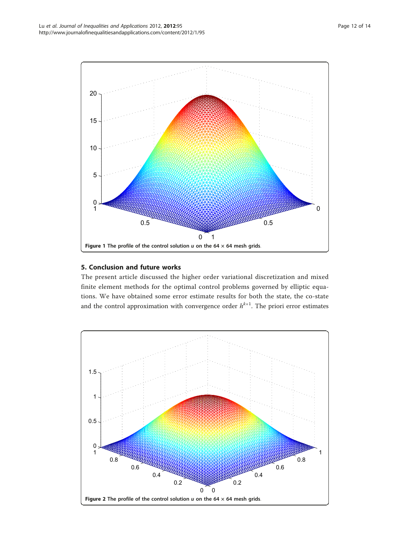<span id="page-11-0"></span>

## 5. Conclusion and future works

The present article discussed the higher order variational discretization and mixed finite element methods for the optimal control problems governed by elliptic equations. We have obtained some error estimate results for both the state, the co-state and the control approximation with convergence order  $h^{k+1}$ . The priori error estimates

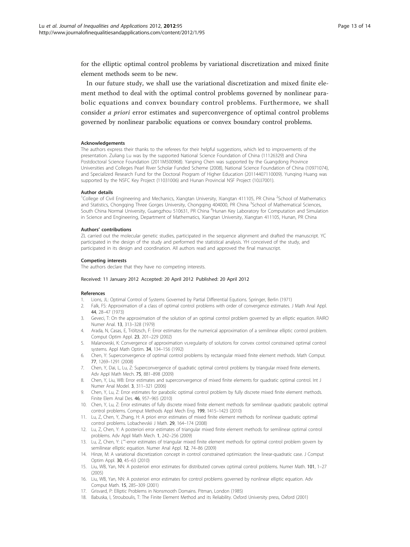<span id="page-12-0"></span>for the elliptic optimal control problems by variational discretization and mixed finite element methods seem to be new.

In our future study, we shall use the variational discretization and mixed finite element method to deal with the optimal control problems governed by nonlinear parabolic equations and convex boundary control problems. Furthermore, we shall consider a priori error estimates and superconvergence of optimal control problems governed by nonlinear parabolic equations or convex boundary control problems.

#### Acknowledgements

The authors express their thanks to the referees for their helpful suggestions, which led to improvements of the presentation. Zuliang Lu was by the supported National Science Foundation of China (11126329) and China Postdoctoral Science Foundation (2011M500968). Yanping Chen was supported by the Guangdong Province Universities and Colleges Pearl River Scholar Funded Scheme (2008), National Science Foundation of China (10971074), and Specialized Research Fund for the Doctoral Program of Higher Education (20114407110009). Yunqing Huang was supported by the NSFC Key Project (11031006) and Hunan Provincial NSF Project (10JJ7001).

### Author details

<sup>1</sup>College of Civil Engineering and Mechanics, Xiangtan University, Xiangtan 411105, PR China <sup>2</sup>School of Mathematics and Statistics, Chongqing Three Gorges University, Chongqing 404000, PR China <sup>3</sup>School of Mathematical Sciences, South China Normal University, Guangzhou 510631, PR China <sup>4</sup> Hunan Key Laboratory for Computation and Simulation in Science and Engineering, Department of Mathematics, Xiangtan University, Xiangtan 411105, Hunan, PR China

#### Authors' contributions

ZL carried out the molecular genetic studies, participated in the sequence alignment and drafted the manuscript. YC participated in the design of the study and performed the statistical analysis. YH conceived of the study, and participated in its design and coordination. All authors read and approved the final manuscript.

#### Competing interests

The authors declare that they have no competing interests.

## Received: 11 January 2012 Accepted: 20 April 2012 Published: 20 April 2012

### References

- 1. Lions, JL: Optimal Control of Systems Governed by Partial Differential Equtions. Springer, Berlin (1971)
- 2. Falk, FS: Approximation of a class of optimal control problems with order of convergence estimates. J Math Anal Appl. 44, 28–47 (1973)
- 3. Geveci, T: On the approximation of the solution of an optimal control problem governed by an elliptic equation. RAIRO Numer Anal. 13, 313–328 (1979)
- 4. Arada, N, Casas, E, Tröltzsch, F: Error estimates for the numerical approximation of a semilinear elliptic control problem. Comput Optim Appl. 23, 201–229 (2002)
- 5. Malanowski, K: Convergence of approximation vs.regularity of solutions for convex control constrained optimal control systems. Appl Math Optim. 34, 134–156 (1992)
- 6. Chen, Y: Superconvergence of optimal control problems by rectangular mixed finite element methods. Math Comput. 77, 1269–1291 (2008)
- 7. Chen, Y, Dai, L, Lu, Z: Superconvergence of quadratic optimal control problems by triangular mixed finite elements. Adv Appl Math Mech. 75, 881–898 (2009)
- 8. Chen, Y, Liu, WB: Error estimates and superconvergence of mixed finite elements for quadratic optimal control. Int J Numer Anal Model. 3, 311–321 (2006)
- 9. Chen, Y, Lu, Z: Error estimates for parabolic optimal control problem by fully discrete mixed finite element methods. Finite Elem Anal Des. 46, 957–965 (2010)
- 10. Chen, Y, Lu, Z: Error estimates of fully discrete mixed finite element methods for semilinear quadratic parabolic optimal control problems. Comput Methods Appl Mech Eng. 199, 1415–1423 (2010)
- 11. Lu, Z, Chen, Y, Zhang, H: A priori error estimates of mixed finite element methods for nonlinear quadratic optimal control problems. Lobachevskii J Math. 29, 164–174 (2008)
- 12. Lu, Z, Chen, Y: A posteriori error estimates of triangular mixed finite element methods for semilinear optimal control problems. Adv Appl Math Mech. 1, 242–256 (2009)
- 13. Lu, Z, Chen, Y: L <sup>∞</sup>-error estimates of triangular mixed finite element methods for optimal control problem govern by semilinear elliptic equation. Numer Anal Appl. 12, 74–86 (2009)
- 14. Hinze, M: A variational discretization concept in control constrained optimization: the linear-quadratic case. J Comput Optim Appl. 30, 45–63 (2010)
- 15. Liu, WB, Yan, NN: A posteriori error estimates for distributed convex optimal control problems. Numer Math. 101, 1–27 (2005)
- 16. Liu, WB, Yan, NN: A posteriori error estimates for control problems governed by nonlinear elliptic equation. Adv Comput Math. 15, 285–309 (2001)
- 17. Grisvard, P: Elliptic Problems in Nonsmooth Domains. Pitman, London (1985)
- 18. Babuska, I, Strouboulis, T: The Finite Element Method and its Reliability. Oxford University press, Oxford (2001)